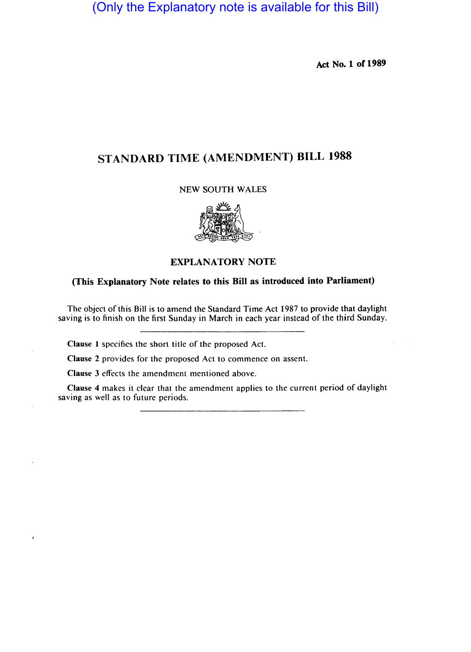(Only the Explanatory note is available for this Bill)

Act No. 1 of 1989

## STANDARD TIME (AMENDMENT) BILL 1988

NEW SOUTH WALES



EXPLANATORY NOTE

## (This Explanatory Note relates to this Bill as introduced into Parliament)

The object of this Bill is to amend the Standard Time Act 1987 to provide that daylight saving is to finish on the first Sunday in March in each year instead of the third Sunday.

Clause 1 specifies the short title of the proposed Act.

Clause 2 provides for the proposed Act to commence on assent.

Clause 3 effects the amendment mentioned above.

Clause 4 makes it clear that the amendment applies to the current period of daylight saving as well as to future periods.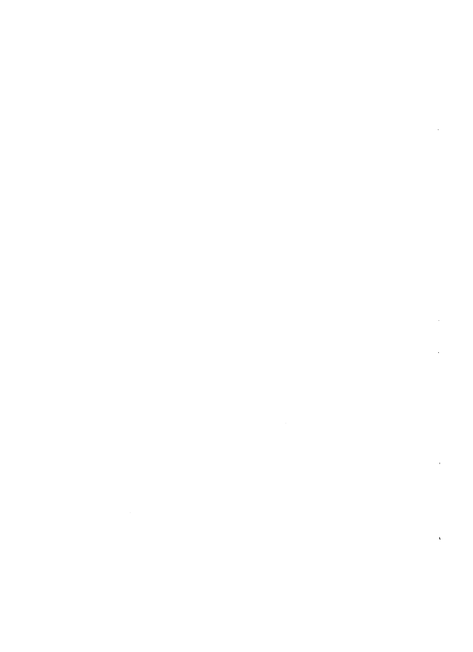$\mathcal{L}^{\text{max}}_{\text{max}}$  $\mathcal{L}^{\text{max}}_{\text{max}}$  and  $\mathcal{L}^{\text{max}}_{\text{max}}$  $\label{eq:2.1} \frac{1}{2} \int_{\mathbb{R}^3} \left| \frac{1}{2} \left( \frac{1}{2} \right) \right|^2 \, \mathrm{d} \mu \, \mathrm{d} \mu \, \mathrm{d} \mu \, \mathrm{d} \mu \, \mathrm{d} \mu \, \mathrm{d} \mu \, \mathrm{d} \mu \, \mathrm{d} \mu \, \mathrm{d} \mu \, \mathrm{d} \mu \, \mathrm{d} \mu \, \mathrm{d} \mu \, \mathrm{d} \mu \, \mathrm{d} \mu \, \mathrm{d} \mu \, \mathrm{d} \mu \, \mathrm{d} \mu \, \mathrm{d} \mu \, \$  $\mathcal{L}^{\text{max}}_{\text{max}}$  and  $\mathcal{L}^{\text{max}}_{\text{max}}$  $\mathbf{v}^{(i)}$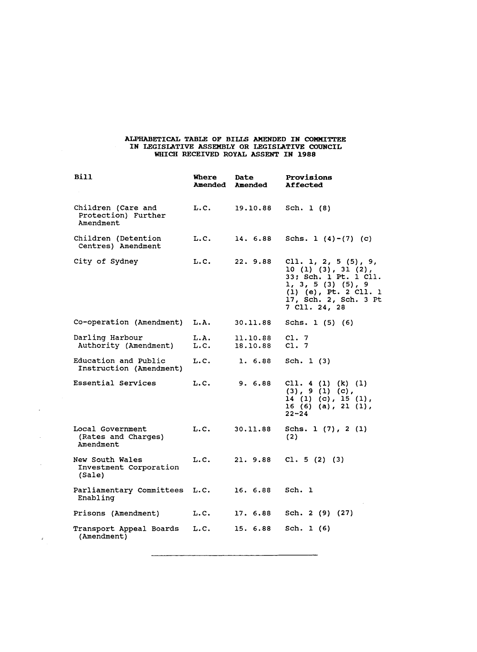## ALPHABETICAL TABLE OF BILLS AMENDED IN COMMITTEE IN LEGISIATIVE ASSEMBLY OR LEGISIATIVE COUNCIL WHICH RECEIVED ROYAL ASSENT IN 1988

| <b>Bill</b>                                            | Where<br>Amended | Date<br>Amended      | Provisions<br>Affected                                                                                                                                             |
|--------------------------------------------------------|------------------|----------------------|--------------------------------------------------------------------------------------------------------------------------------------------------------------------|
| Children (Care and<br>Protection) Further<br>Amendment | L.C.             | 19.10.88             | Sch. $1(8)$                                                                                                                                                        |
| Children (Detention<br>Centres) Amendment              | L.C.             | 14. 6.88             | Schs. 1 $(4)-(7)$ (c)                                                                                                                                              |
| City of Sydney                                         | L.C.             | 22. 9.88             | Cll. 1, 2, 5 $(5)$ , 9,<br>10(1)(3), 31(2),<br>33; Sch. 1 Pt. 1 Cll.<br>1, 3, 5 (3) (5), 9<br>$(1)$ $(e)$ , Pt. 2 Cll. 1<br>17, Sch. 2, Sch. 3 Pt<br>7 Cll. 24, 28 |
| Co-operation (Amendment)                               | L.A.             | 30.11.88             | Schs. $1(5)(6)$                                                                                                                                                    |
| Darling Harbour<br>Authority (Amendment)               | L.A.<br>L.C.     | 11.10.88<br>18.10.88 | c1.7<br>C1.7                                                                                                                                                       |
| Education and Public<br>Instruction (Amendment)        | L.C.             | 1.6.88               | Sch. $1(3)$                                                                                                                                                        |
| Essential Services                                     | L.C.             | 9.6.88               | Cll. 4 (1) (k) (1)<br>$(3)$ , 9 $(1)$ $(c)$ ,<br>14 (1) (c), 15 (1),<br>16 (6) (a), 21 (1),<br>$22 - 24$                                                           |
| Local Government<br>(Rates and Charges)<br>Amendment   | L.C.             | 30.11.88             | Schs. 1 $(7)$ , 2 $(1)$<br>(2)                                                                                                                                     |
| New South Wales<br>Investment Corporation<br>(Sale)    | L.C.             | 21. 9.88             | C1. 5(2)(3)                                                                                                                                                        |
| Parliamentary Committees L.C.<br>Enabling              |                  | 16. 6.88             | Sch. 1                                                                                                                                                             |
| Prisons (Amendment)                                    | L.C.             | 17. 6.88             | Sch. 2 (9) (27)                                                                                                                                                    |
| Transport Appeal Boards<br>(Amendment)                 | L.C.             | 15. 6.88             | Sch. $1(6)$                                                                                                                                                        |

 $\Delta \sim 1$ 

 $\bar{z}$ 

 $\mathcal{L}_{\mathcal{A}}$ 

 $\mathcal{F}^{\mathcal{G}}$